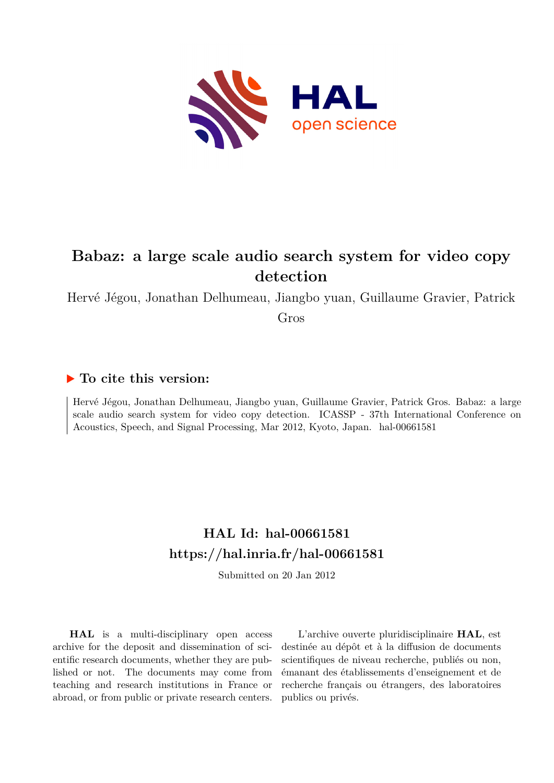

# **Babaz: a large scale audio search system for video copy detection**

Hervé Jégou, Jonathan Delhumeau, Jiangbo yuan, Guillaume Gravier, Patrick

Gros

## **To cite this version:**

Hervé Jégou, Jonathan Delhumeau, Jiangbo yuan, Guillaume Gravier, Patrick Gros. Babaz: a large scale audio search system for video copy detection. ICASSP - 37th International Conference on Acoustics, Speech, and Signal Processing, Mar 2012, Kyoto, Japan. hal-00661581

## **HAL Id: hal-00661581 <https://hal.inria.fr/hal-00661581>**

Submitted on 20 Jan 2012

**HAL** is a multi-disciplinary open access archive for the deposit and dissemination of scientific research documents, whether they are published or not. The documents may come from teaching and research institutions in France or abroad, or from public or private research centers.

L'archive ouverte pluridisciplinaire **HAL**, est destinée au dépôt et à la diffusion de documents scientifiques de niveau recherche, publiés ou non, émanant des établissements d'enseignement et de recherche français ou étrangers, des laboratoires publics ou privés.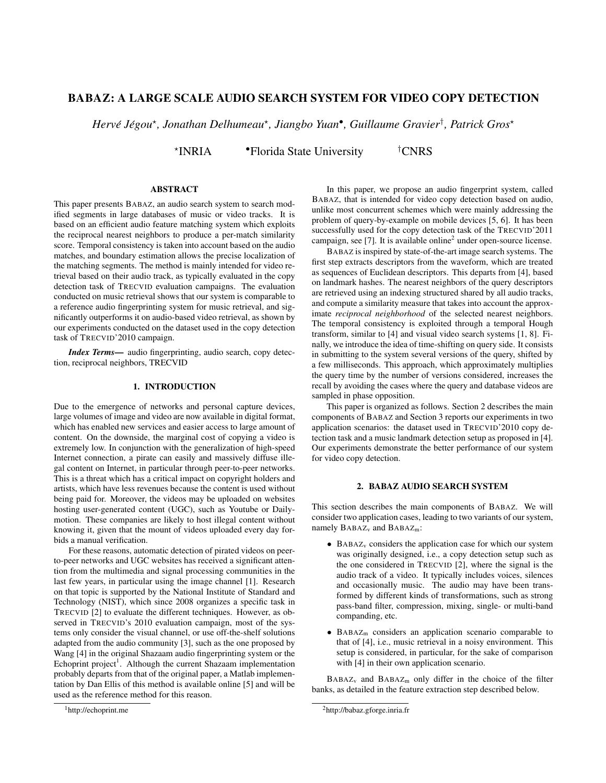## BABAZ: A LARGE SCALE AUDIO SEARCH SYSTEM FOR VIDEO COPY DETECTION

 $Herv\acute{e}$  Jégou\*, Jonathan Delhumeau\*, Jiangbo Yuan•, Guillaume Gravier<sup>†</sup>, Patrick Gros\*

⋆ •Florida State University <sup>†</sup>CNRS

## ABSTRACT

This paper presents BABAZ, an audio search system to search modified segments in large databases of music or video tracks. It is based on an efficient audio feature matching system which exploits the reciprocal nearest neighbors to produce a per-match similarity score. Temporal consistency is taken into account based on the audio matches, and boundary estimation allows the precise localization of the matching segments. The method is mainly intended for video retrieval based on their audio track, as typically evaluated in the copy detection task of TRECVID evaluation campaigns. The evaluation conducted on music retrieval shows that our system is comparable to a reference audio fingerprinting system for music retrieval, and significantly outperforms it on audio-based video retrieval, as shown by our experiments conducted on the dataset used in the copy detection task of TRECVID'2010 campaign.

*Index Terms*— audio fingerprinting, audio search, copy detection, reciprocal neighbors, TRECVID

## 1. INTRODUCTION

Due to the emergence of networks and personal capture devices, large volumes of image and video are now available in digital format, which has enabled new services and easier access to large amount of content. On the downside, the marginal cost of copying a video is extremely low. In conjunction with the generalization of high-speed Internet connection, a pirate can easily and massively diffuse illegal content on Internet, in particular through peer-to-peer networks. This is a threat which has a critical impact on copyright holders and artists, which have less revenues because the content is used without being paid for. Moreover, the videos may be uploaded on websites hosting user-generated content (UGC), such as Youtube or Dailymotion. These companies are likely to host illegal content without knowing it, given that the mount of videos uploaded every day forbids a manual verification.

For these reasons, automatic detection of pirated videos on peerto-peer networks and UGC websites has received a significant attention from the multimedia and signal processing communities in the last few years, in particular using the image channel [1]. Research on that topic is supported by the National Institute of Standard and Technology (NIST), which since 2008 organizes a specific task in TRECVID [2] to evaluate the different techniques. However, as observed in TRECVID's 2010 evaluation campaign, most of the systems only consider the visual channel, or use off-the-shelf solutions adapted from the audio community [3], such as the one proposed by Wang [4] in the original Shazaam audio fingerprinting system or the Echoprint project<sup>1</sup>. Although the current Shazaam implementation probably departs from that of the original paper, a Matlab implementation by Dan Ellis of this method is available online [5] and will be used as the reference method for this reason.

In this paper, we propose an audio fingerprint system, called BABAZ, that is intended for video copy detection based on audio, unlike most concurrent schemes which were mainly addressing the problem of query-by-example on mobile devices [5, 6]. It has been successfully used for the copy detection task of the TRECVID'2011 campaign, see [7]. It is available online<sup>2</sup> under open-source license.

BABAZ is inspired by state-of-the-art image search systems. The first step extracts descriptors from the waveform, which are treated as sequences of Euclidean descriptors. This departs from [4], based on landmark hashes. The nearest neighbors of the query descriptors are retrieved using an indexing structured shared by all audio tracks, and compute a similarity measure that takes into account the approximate *reciprocal neighborhood* of the selected nearest neighbors. The temporal consistency is exploited through a temporal Hough transform, similar to [4] and visual video search systems [1, 8]. Finally, we introduce the idea of time-shifting on query side. It consists in submitting to the system several versions of the query, shifted by a few milliseconds. This approach, which approximately multiplies the query time by the number of versions considered, increases the recall by avoiding the cases where the query and database videos are sampled in phase opposition.

This paper is organized as follows. Section 2 describes the main components of BABAZ and Section 3 reports our experiments in two application scenarios: the dataset used in TRECVID'2010 copy detection task and a music landmark detection setup as proposed in [4]. Our experiments demonstrate the better performance of our system for video copy detection.

#### 2. BABAZ AUDIO SEARCH SYSTEM

This section describes the main components of BABAZ. We will consider two application cases, leading to two variants of our system, namely BABAZ<sub>v</sub> and BABAZ<sub>m</sub>:

- $\bullet$  BABAZ<sub>v</sub> considers the application case for which our system was originally designed, i.e., a copy detection setup such as the one considered in TRECVID [2], where the signal is the audio track of a video. It typically includes voices, silences and occasionally music. The audio may have been transformed by different kinds of transformations, such as strong pass-band filter, compression, mixing, single- or multi-band companding, etc.
- BABAZ<sup>m</sup> considers an application scenario comparable to that of [4], i.e., music retrieval in a noisy environment. This setup is considered, in particular, for the sake of comparison with [4] in their own application scenario.

 $BABAZ_v$  and  $BABAZ_m$  only differ in the choice of the filter banks, as detailed in the feature extraction step described below.

<sup>2</sup>http://babaz.gforge.inria.fr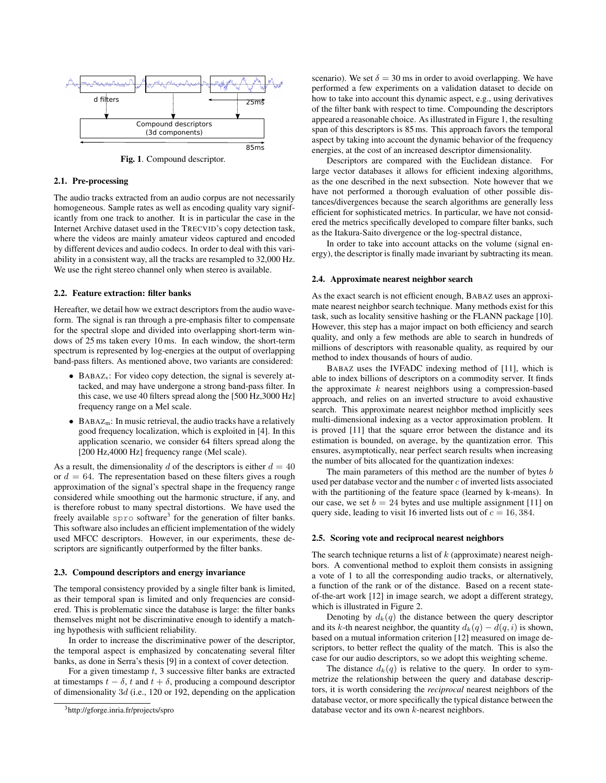

Fig. 1. Compound descriptor.

#### 2.1. Pre-processing

The audio tracks extracted from an audio corpus are not necessarily homogeneous. Sample rates as well as encoding quality vary significantly from one track to another. It is in particular the case in the Internet Archive dataset used in the TRECVID's copy detection task, where the videos are mainly amateur videos captured and encoded by different devices and audio codecs. In order to deal with this variability in a consistent way, all the tracks are resampled to 32,000 Hz. We use the right stereo channel only when stereo is available.

#### 2.2. Feature extraction: filter banks

Hereafter, we detail how we extract descriptors from the audio waveform. The signal is ran through a pre-emphasis filter to compensate for the spectral slope and divided into overlapping short-term windows of 25 ms taken every 10 ms. In each window, the short-term spectrum is represented by log-energies at the output of overlapping band-pass filters. As mentioned above, two variants are considered:

- BABAZv: For video copy detection, the signal is severely attacked, and may have undergone a strong band-pass filter. In this case, we use 40 filters spread along the [500 Hz,3000 Hz] frequency range on a Mel scale.
- $\bullet$  BABAZ<sub>m</sub>: In music retrieval, the audio tracks have a relatively good frequency localization, which is exploited in [4]. In this application scenario, we consider 64 filters spread along the [200 Hz,4000 Hz] frequency range (Mel scale).

As a result, the dimensionality d of the descriptors is either  $d = 40$ or  $d = 64$ . The representation based on these filters gives a rough approximation of the signal's spectral shape in the frequency range considered while smoothing out the harmonic structure, if any, and is therefore robust to many spectral distortions. We have used the freely available spro software<sup>3</sup> for the generation of filter banks. This software also includes an efficient implementation of the widely used MFCC descriptors. However, in our experiments, these descriptors are significantly outperformed by the filter banks.

#### 2.3. Compound descriptors and energy invariance

The temporal consistency provided by a single filter bank is limited, as their temporal span is limited and only frequencies are considered. This is problematic since the database is large: the filter banks themselves might not be discriminative enough to identify a matching hypothesis with sufficient reliability.

In order to increase the discriminative power of the descriptor, the temporal aspect is emphasized by concatenating several filter banks, as done in Serra's thesis [9] in a context of cover detection.

For a given timestamp  $t$ , 3 successive filter banks are extracted at timestamps  $t - \delta$ , t and  $t + \delta$ , producing a compound descriptor of dimensionality 3d (i.e., 120 or 192, depending on the application scenario). We set  $\delta = 30$  ms in order to avoid overlapping. We have performed a few experiments on a validation dataset to decide on how to take into account this dynamic aspect, e.g., using derivatives of the filter bank with respect to time. Compounding the descriptors appeared a reasonable choice. As illustrated in Figure 1, the resulting span of this descriptors is 85 ms. This approach favors the temporal aspect by taking into account the dynamic behavior of the frequency energies, at the cost of an increased descriptor dimensionality.

Descriptors are compared with the Euclidean distance. For large vector databases it allows for efficient indexing algorithms, as the one described in the next subsection. Note however that we have not performed a thorough evaluation of other possible distances/divergences because the search algorithms are generally less efficient for sophisticated metrics. In particular, we have not considered the metrics specifically developed to compare filter banks, such as the Itakura-Saito divergence or the log-spectral distance,

In order to take into account attacks on the volume (signal energy), the descriptor is finally made invariant by subtracting its mean.

#### 2.4. Approximate nearest neighbor search

As the exact search is not efficient enough, BABAZ uses an approximate nearest neighbor search technique. Many methods exist for this task, such as locality sensitive hashing or the FLANN package [10]. However, this step has a major impact on both efficiency and search quality, and only a few methods are able to search in hundreds of millions of descriptors with reasonable quality, as required by our method to index thousands of hours of audio.

BABAZ uses the IVFADC indexing method of [11], which is able to index billions of descriptors on a commodity server. It finds the approximate  $k$  nearest neighbors using a compression-based approach, and relies on an inverted structure to avoid exhaustive search. This approximate nearest neighbor method implicitly sees multi-dimensional indexing as a vector approximation problem. It is proved [11] that the square error between the distance and its estimation is bounded, on average, by the quantization error. This ensures, asymptotically, near perfect search results when increasing the number of bits allocated for the quantization indexes:

The main parameters of this method are the number of bytes b used per database vector and the number  $c$  of inverted lists associated with the partitioning of the feature space (learned by k-means). In our case, we set  $b = 24$  bytes and use multiple assignment [11] on query side, leading to visit 16 inverted lists out of  $c = 16,384$ .

#### 2.5. Scoring vote and reciprocal nearest neighbors

The search technique returns a list of  $k$  (approximate) nearest neighbors. A conventional method to exploit them consists in assigning a vote of 1 to all the corresponding audio tracks, or alternatively, a function of the rank or of the distance. Based on a recent stateof-the-art work [12] in image search, we adopt a different strategy, which is illustrated in Figure 2.

Denoting by  $d_k(q)$  the distance between the query descriptor and its k-th nearest neighbor, the quantity  $d_k(q) - d(q, i)$  is shown, based on a mutual information criterion [12] measured on image descriptors, to better reflect the quality of the match. This is also the case for our audio descriptors, so we adopt this weighting scheme.

The distance  $d_k(q)$  is relative to the query. In order to symmetrize the relationship between the query and database descriptors, it is worth considering the *reciprocal* nearest neighbors of the database vector, or more specifically the typical distance between the database vector and its own k-nearest neighbors.

<sup>3</sup>http://gforge.inria.fr/projects/spro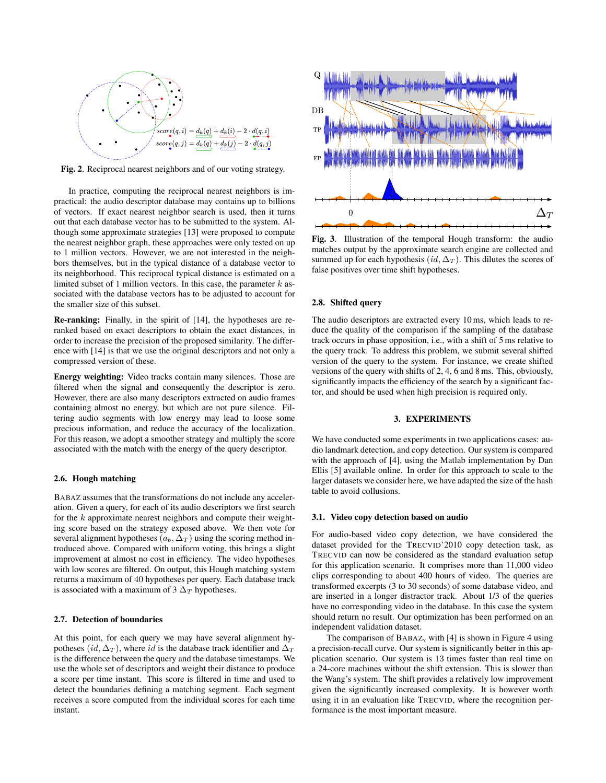

Fig. 2. Reciprocal nearest neighbors and of our voting strategy.

In practice, computing the reciprocal nearest neighbors is impractical: the audio descriptor database may contains up to billions of vectors. If exact nearest neighbor search is used, then it turns out that each database vector has to be submitted to the system. Although some approximate strategies [13] were proposed to compute the nearest neighbor graph, these approaches were only tested on up to 1 million vectors. However, we are not interested in the neighbors themselves, but in the typical distance of a database vector to its neighborhood. This reciprocal typical distance is estimated on a limited subset of 1 million vectors. In this case, the parameter  $k$  associated with the database vectors has to be adjusted to account for the smaller size of this subset.

Re-ranking: Finally, in the spirit of [14], the hypotheses are reranked based on exact descriptors to obtain the exact distances, in order to increase the precision of the proposed similarity. The difference with [14] is that we use the original descriptors and not only a compressed version of these.

Energy weighting: Video tracks contain many silences. Those are filtered when the signal and consequently the descriptor is zero. However, there are also many descriptors extracted on audio frames containing almost no energy, but which are not pure silence. Filtering audio segments with low energy may lead to loose some precious information, and reduce the accuracy of the localization. For this reason, we adopt a smoother strategy and multiply the score associated with the match with the energy of the query descriptor.

#### 2.6. Hough matching

BABAZ assumes that the transformations do not include any acceleration. Given a query, for each of its audio descriptors we first search for the  $k$  approximate nearest neighbors and compute their weighting score based on the strategy exposed above. We then vote for several alignment hypotheses  $(a_b, \Delta_T)$  using the scoring method introduced above. Compared with uniform voting, this brings a slight improvement at almost no cost in efficiency. The video hypotheses with low scores are filtered. On output, this Hough matching system returns a maximum of 40 hypotheses per query. Each database track is associated with a maximum of 3  $\Delta_T$  hypotheses.

## 2.7. Detection of boundaries

At this point, for each query we may have several alignment hypotheses (id,  $\Delta_T$ ), where id is the database track identifier and  $\Delta_T$ is the difference between the query and the database timestamps. We use the whole set of descriptors and weight their distance to produce a score per time instant. This score is filtered in time and used to detect the boundaries defining a matching segment. Each segment receives a score computed from the individual scores for each time instant.



Fig. 3. Illustration of the temporal Hough transform: the audio matches output by the approximate search engine are collected and summed up for each hypothesis  $(id, \Delta_T)$ . This dilutes the scores of false positives over time shift hypotheses.

#### 2.8. Shifted query

The audio descriptors are extracted every 10 ms, which leads to reduce the quality of the comparison if the sampling of the database track occurs in phase opposition, i.e., with a shift of 5 ms relative to the query track. To address this problem, we submit several shifted version of the query to the system. For instance, we create shifted versions of the query with shifts of 2, 4, 6 and 8 ms. This, obviously, significantly impacts the efficiency of the search by a significant factor, and should be used when high precision is required only.

## 3. EXPERIMENTS

We have conducted some experiments in two applications cases: audio landmark detection, and copy detection. Our system is compared with the approach of [4], using the Matlab implementation by Dan Ellis [5] available online. In order for this approach to scale to the larger datasets we consider here, we have adapted the size of the hash table to avoid collusions.

## 3.1. Video copy detection based on audio

For audio-based video copy detection, we have considered the dataset provided for the TRECVID'2010 copy detection task, as TRECVID can now be considered as the standard evaluation setup for this application scenario. It comprises more than 11,000 video clips corresponding to about 400 hours of video. The queries are transformed excerpts (3 to 30 seconds) of some database video, and are inserted in a longer distractor track. About 1/3 of the queries have no corresponding video in the database. In this case the system should return no result. Our optimization has been performed on an independent validation dataset.

The comparison of  $BABAZ_v$  with [4] is shown in Figure 4 using a precision-recall curve. Our system is significantly better in this application scenario. Our system is 13 times faster than real time on a 24-core machines without the shift extension. This is slower than the Wang's system. The shift provides a relatively low improvement given the significantly increased complexity. It is however worth using it in an evaluation like TRECVID, where the recognition performance is the most important measure.